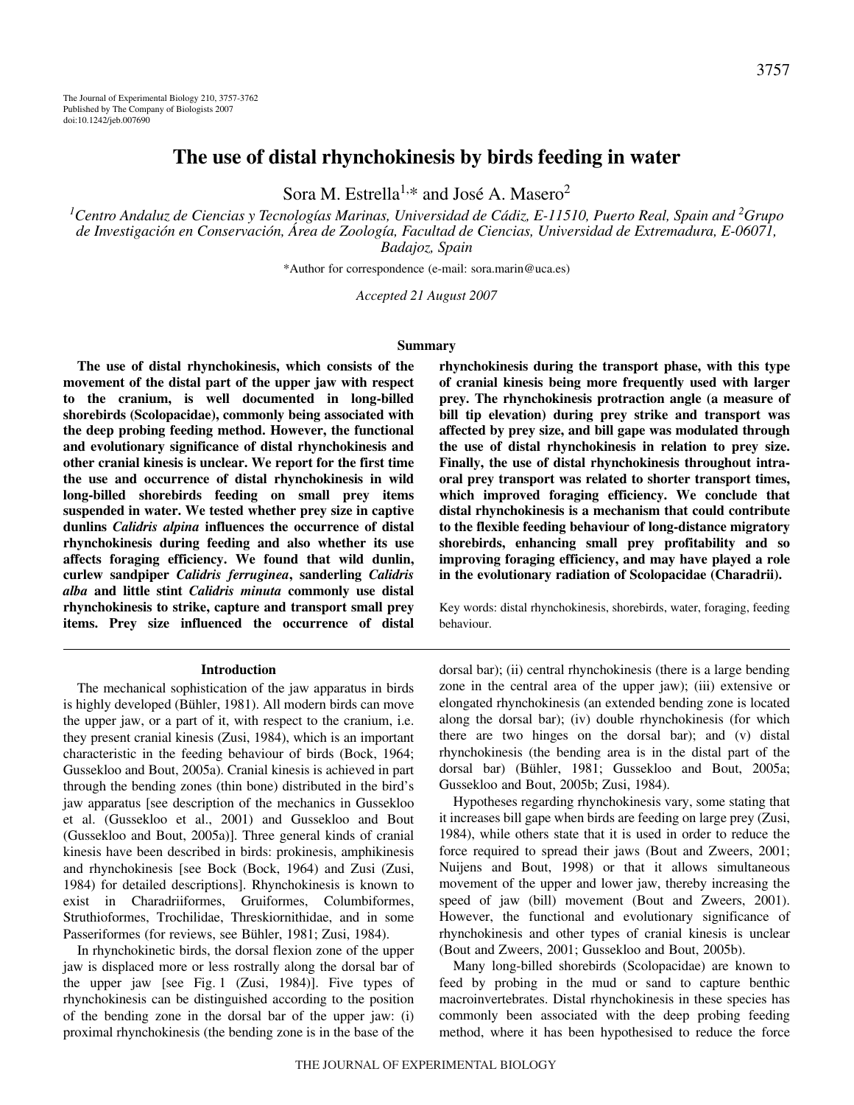# **The use of distal rhynchokinesis by birds feeding in water**

Sora M. Estrella<sup>1,\*</sup> and José A. Masero<sup>2</sup>

<sup>1</sup>Centro Andaluz de Ciencias y Tecnologías Marinas, Universidad de Cádiz, E-11510, Puerto Real, Spain and <sup>2</sup>Grupo *de Investigación en Conservación, Área de Zoología, Facultad de Ciencias, Universidad de Extremadura, E-06071, Badajoz, Spain*

\*Author for correspondence (e-mail: sora.marin@uca.es)

*Accepted 21 August 2007*

#### **Summary**

**The use of distal rhynchokinesis, which consists of the movement of the distal part of the upper jaw with respect to the cranium, is well documented in long-billed shorebirds (Scolopacidae), commonly being associated with the deep probing feeding method. However, the functional and evolutionary significance of distal rhynchokinesis and other cranial kinesis is unclear. We report for the first time the use and occurrence of distal rhynchokinesis in wild long-billed shorebirds feeding on small prey items suspended in water. We tested whether prey size in captive dunlins** *Calidris alpina* **influences the occurrence of distal rhynchokinesis during feeding and also whether its use affects foraging efficiency. We found that wild dunlin, curlew sandpiper** *Calidris ferruginea***, sanderling** *Calidris alba* **and little stint** *Calidris minuta* **commonly use distal rhynchokinesis to strike, capture and transport small prey items. Prey size influenced the occurrence of distal**

#### **Introduction**

The mechanical sophistication of the jaw apparatus in birds is highly developed (Bühler, 1981). All modern birds can move the upper jaw, or a part of it, with respect to the cranium, i.e. they present cranial kinesis (Zusi, 1984), which is an important characteristic in the feeding behaviour of birds (Bock, 1964; Gussekloo and Bout, 2005a). Cranial kinesis is achieved in part through the bending zones (thin bone) distributed in the bird's jaw apparatus [see description of the mechanics in Gussekloo et al. (Gussekloo et al., 2001) and Gussekloo and Bout (Gussekloo and Bout, 2005a)]. Three general kinds of cranial kinesis have been described in birds: prokinesis, amphikinesis and rhynchokinesis [see Bock (Bock, 1964) and Zusi (Zusi, 1984) for detailed descriptions]. Rhynchokinesis is known to exist in Charadriiformes, Gruiformes, Columbiformes, Struthioformes, Trochilidae, Threskiornithidae, and in some Passeriformes (for reviews, see Bühler, 1981; Zusi, 1984).

In rhynchokinetic birds, the dorsal flexion zone of the upper jaw is displaced more or less rostrally along the dorsal bar of the upper jaw [see Fig. 1  $(Zusi, 1984)$ ]. Five types of rhynchokinesis can be distinguished according to the position of the bending zone in the dorsal bar of the upper jaw: (i) proximal rhynchokinesis (the bending zone is in the base of the **rhynchokinesis during the transport phase, with this type of cranial kinesis being more frequently used with larger prey. The rhynchokinesis protraction angle (a measure of bill tip elevation) during prey strike and transport was affected by prey size, and bill gape was modulated through the use of distal rhynchokinesis in relation to prey size. Finally, the use of distal rhynchokinesis throughout intraoral prey transport was related to shorter transport times, which improved foraging efficiency. We conclude that distal rhynchokinesis is a mechanism that could contribute to the flexible feeding behaviour of long-distance migratory shorebirds, enhancing small prey profitability and so improving foraging efficiency, and may have played a role in the evolutionary radiation of Scolopacidae (Charadrii).**

Key words: distal rhynchokinesis, shorebirds, water, foraging, feeding behaviour.

dorsal bar); (ii) central rhynchokinesis (there is a large bending zone in the central area of the upper jaw); (iii) extensive or elongated rhynchokinesis (an extended bending zone is located along the dorsal bar); (iv) double rhynchokinesis (for which there are two hinges on the dorsal bar); and (v) distal rhynchokinesis (the bending area is in the distal part of the dorsal bar) (Bühler, 1981; Gussekloo and Bout, 2005a; Gussekloo and Bout, 2005b; Zusi, 1984).

Hypotheses regarding rhynchokinesis vary, some stating that it increases bill gape when birds are feeding on large prey (Zusi, 1984), while others state that it is used in order to reduce the force required to spread their jaws (Bout and Zweers, 2001; Nuijens and Bout, 1998) or that it allows simultaneous movement of the upper and lower jaw, thereby increasing the speed of jaw (bill) movement (Bout and Zweers, 2001). However, the functional and evolutionary significance of rhynchokinesis and other types of cranial kinesis is unclear (Bout and Zweers, 2001; Gussekloo and Bout, 2005b).

Many long-billed shorebirds (Scolopacidae) are known to feed by probing in the mud or sand to capture benthic macroinvertebrates. Distal rhynchokinesis in these species has commonly been associated with the deep probing feeding method, where it has been hypothesised to reduce the force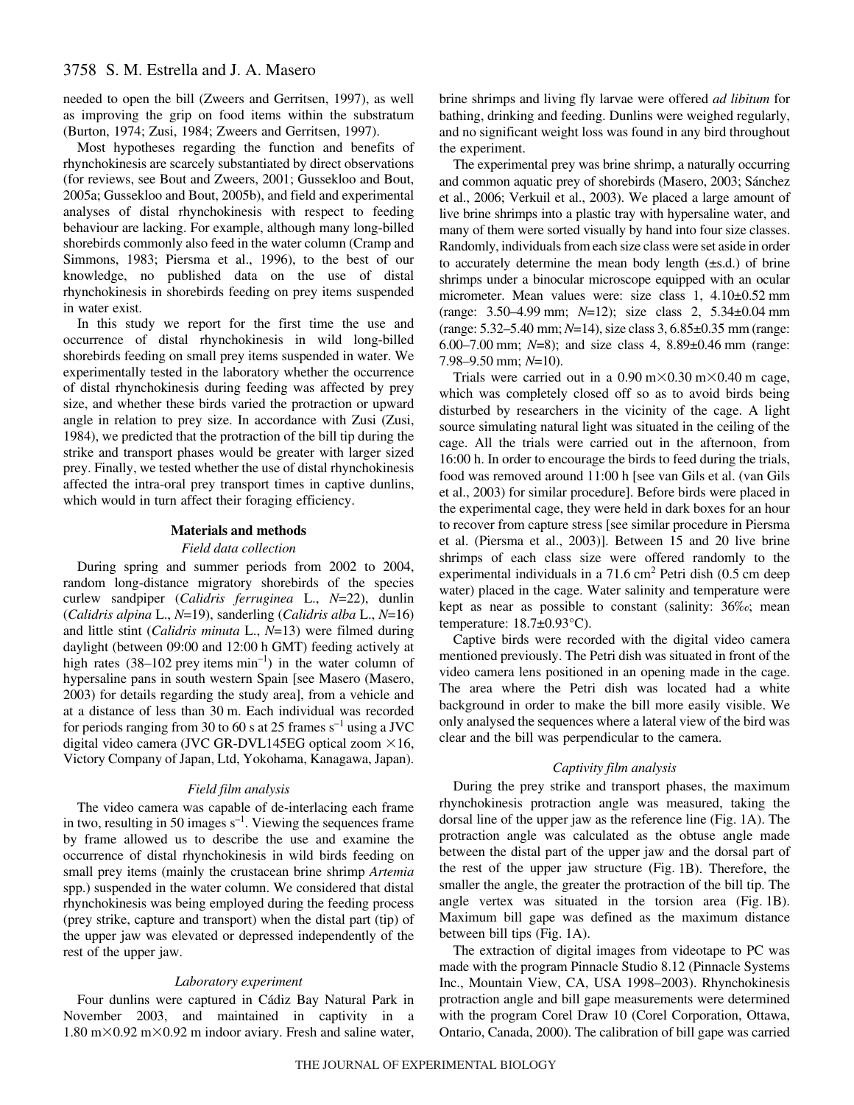needed to open the bill (Zweers and Gerritsen, 1997), as well as improving the grip on food items within the substratum (Burton, 1974; Zusi, 1984; Zweers and Gerritsen, 1997).

Most hypotheses regarding the function and benefits of rhynchokinesis are scarcely substantiated by direct observations (for reviews, see Bout and Zweers, 2001; Gussekloo and Bout, 2005a; Gussekloo and Bout, 2005b), and field and experimental analyses of distal rhynchokinesis with respect to feeding behaviour are lacking. For example, although many long-billed shorebirds commonly also feed in the water column (Cramp and Simmons, 1983; Piersma et al., 1996), to the best of our knowledge, no published data on the use of distal rhynchokinesis in shorebirds feeding on prey items suspended in water exist.

In this study we report for the first time the use and occurrence of distal rhynchokinesis in wild long-billed shorebirds feeding on small prey items suspended in water. We experimentally tested in the laboratory whether the occurrence of distal rhynchokinesis during feeding was affected by prey size, and whether these birds varied the protraction or upward angle in relation to prey size. In accordance with Zusi (Zusi, 1984), we predicted that the protraction of the bill tip during the strike and transport phases would be greater with larger sized prey. Finally, we tested whether the use of distal rhynchokinesis affected the intra-oral prey transport times in captive dunlins, which would in turn affect their foraging efficiency.

### **Materials and methods**

#### *Field data collection*

During spring and summer periods from 2002 to 2004, random long-distance migratory shorebirds of the species curlew sandpiper (*Calidris ferruginea* L., *N*=22), dunlin (*Calidris alpina* L., *N*=19), sanderling (*Calidris alba* L., *N*=16) and little stint (*Calidris minuta* L., *N*=13) were filmed during daylight (between 09:00 and 12:00 h GMT) feeding actively at high rates (38–102 prey items  $min^{-1}$ ) in the water column of hypersaline pans in south western Spain [see Masero (Masero, 2003) for details regarding the study area], from a vehicle and at a distance of less than 30 m. Each individual was recorded for periods ranging from 30 to 60 s at 25 frames  $s^{-1}$  using a JVC digital video camera (JVC GR-DVL145EG optical zoom  $\times 16$ , Victory Company of Japan, Ltd, Yokohama, Kanagawa, Japan).

#### *Field film analysis*

The video camera was capable of de-interlacing each frame in two, resulting in 50 images  $s^{-1}$ . Viewing the sequences frame by frame allowed us to describe the use and examine the occurrence of distal rhynchokinesis in wild birds feeding on small prey items (mainly the crustacean brine shrimp *Artemia* spp.) suspended in the water column. We considered that distal rhynchokinesis was being employed during the feeding process (prey strike, capture and transport) when the distal part (tip) of the upper jaw was elevated or depressed independently of the rest of the upper jaw.

## *Laboratory experiment*

Four dunlins were captured in Cádiz Bay Natural Park in November 2003, and maintained in captivity in a  $1.80 \text{ m} \times 0.92 \text{ m} \times 0.92 \text{ m}$  indoor aviary. Fresh and saline water, brine shrimps and living fly larvae were offered *ad libitum* for bathing, drinking and feeding. Dunlins were weighed regularly, and no significant weight loss was found in any bird throughout the experiment.

The experimental prey was brine shrimp, a naturally occurring and common aquatic prey of shorebirds (Masero, 2003; Sánchez et al., 2006; Verkuil et al., 2003). We placed a large amount of live brine shrimps into a plastic tray with hypersaline water, and many of them were sorted visually by hand into four size classes. Randomly, individuals from each size class were set aside in order to accurately determine the mean body length  $(\pm s.d.)$  of brine shrimps under a binocular microscope equipped with an ocular micrometer. Mean values were: size class 1, 4.10±0.52 mm (range: 3.50–4.99 mm; *N*=12); size class 2, 5.34±0.04 mm (range: 5.32–5.40 mm; *N*=14), size class 3, 6.85±0.35 mm (range: 6.00–7.00 mm;  $N=8$ ); and size class 4,  $8.89\pm0.46$  mm (range: 7.98–9.50 mm;  $N=10$ ).

Trials were carried out in a  $0.90 \text{ m} \times 0.30 \text{ m} \times 0.40 \text{ m}$  cage, which was completely closed off so as to avoid birds being disturbed by researchers in the vicinity of the cage. A light source simulating natural light was situated in the ceiling of the cage. All the trials were carried out in the afternoon, from 16:00 h. In order to encourage the birds to feed during the trials, food was removed around 11:00 h [see van Gils et al. (van Gils et al., 2003) for similar procedure]. Before birds were placed in the experimental cage, they were held in dark boxes for an hour to recover from capture stress [see similar procedure in Piersma et al. (Piersma et al., 2003)]. Between 15 and 20 live brine shrimps of each class size were offered randomly to the experimental individuals in a  $71.6 \text{ cm}^2$  Petri dish (0.5 cm deep water) placed in the cage. Water salinity and temperature were kept as near as possible to constant (salinity: 36‰; mean temperature: 18.7±0.93°C).

Captive birds were recorded with the digital video camera mentioned previously. The Petri dish was situated in front of the video camera lens positioned in an opening made in the cage. The area where the Petri dish was located had a white background in order to make the bill more easily visible. We only analysed the sequences where a lateral view of the bird was clear and the bill was perpendicular to the camera.

#### *Captivity film analysis*

During the prey strike and transport phases, the maximum rhynchokinesis protraction angle was measured, taking the dorsal line of the upper jaw as the reference line (Fig.  $1A$ ). The protraction angle was calculated as the obtuse angle made between the distal part of the upper jaw and the dorsal part of the rest of the upper jaw structure (Fig. 1B). Therefore, the smaller the angle, the greater the protraction of the bill tip. The angle vertex was situated in the torsion area (Fig. 1B). Maximum bill gape was defined as the maximum distance between bill tips  $(Fig. 1A)$ .

The extraction of digital images from videotape to PC was made with the program Pinnacle Studio 8.12 (Pinnacle Systems Inc., Mountain View, CA, USA 1998–2003). Rhynchokinesis protraction angle and bill gape measurements were determined with the program Corel Draw 10 (Corel Corporation, Ottawa, Ontario, Canada, 2000). The calibration of bill gape was carried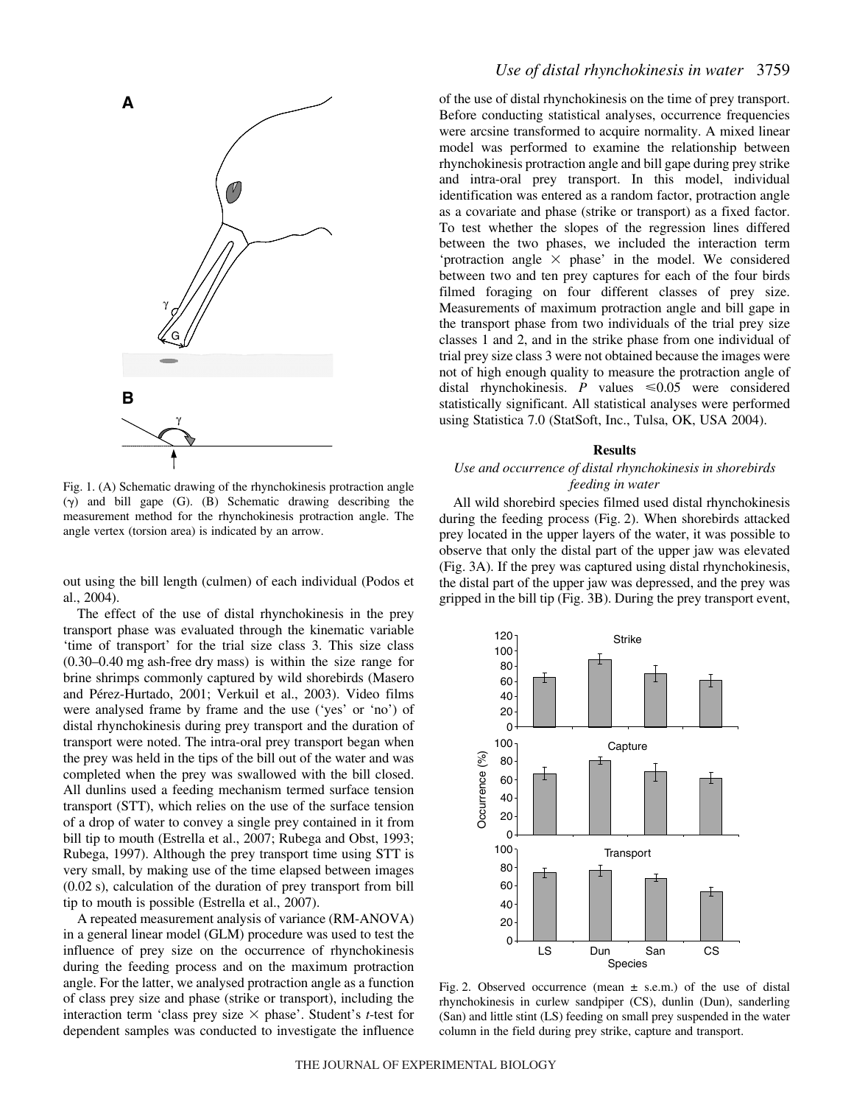

Fig. 1. (A) Schematic drawing of the rhynchokinesis protraction angle  $(\gamma)$  and bill gape (G). (B) Schematic drawing describing the measurement method for the rhynchokinesis protraction angle. The angle vertex (torsion area) is indicated by an arrow.

out using the bill length (culmen) of each individual (Podos et al., 2004).

The effect of the use of distal rhynchokinesis in the prey transport phase was evaluated through the kinematic variable 'time of transport' for the trial size class 3. This size class  $(0.30-0.40$  mg ash-free dry mass) is within the size range for brine shrimps commonly captured by wild shorebirds (Masero and Pérez-Hurtado, 2001; Verkuil et al., 2003). Video films were analysed frame by frame and the use ('yes' or 'no') of distal rhynchokinesis during prey transport and the duration of transport were noted. The intra-oral prey transport began when the prey was held in the tips of the bill out of the water and was completed when the prey was swallowed with the bill closed. All dunlins used a feeding mechanism termed surface tension transport (STT), which relies on the use of the surface tension of a drop of water to convey a single prey contained in it from bill tip to mouth (Estrella et al., 2007; Rubega and Obst, 1993; Rubega, 1997). Although the prey transport time using STT is very small, by making use of the time elapsed between images  $(0.02 \text{ s})$ , calculation of the duration of prey transport from bill tip to mouth is possible (Estrella et al., 2007).

A repeated measurement analysis of variance (RM-ANOVA) in a general linear model (GLM) procedure was used to test the influence of prey size on the occurrence of rhynchokinesis during the feeding process and on the maximum protraction angle. For the latter, we analysed protraction angle as a function of class prey size and phase (strike or transport), including the interaction term 'class prey size  $\times$  phase'. Student's *t*-test for dependent samples was conducted to investigate the influence

## *Use of distal rhynchokinesis in water* 3759

of the use of distal rhynchokinesis on the time of prey transport. Before conducting statistical analyses, occurrence frequencies were arcsine transformed to acquire normality. A mixed linear model was performed to examine the relationship between rhynchokinesis protraction angle and bill gape during prey strike and intra-oral prey transport. In this model, individual identification was entered as a random factor, protraction angle as a covariate and phase (strike or transport) as a fixed factor. To test whether the slopes of the regression lines differed between the two phases, we included the interaction term 'protraction angle  $\times$  phase' in the model. We considered between two and ten prey captures for each of the four birds filmed foraging on four different classes of prey size. Measurements of maximum protraction angle and bill gape in the transport phase from two individuals of the trial prey size classes 1 and 2, and in the strike phase from one individual of trial prey size class 3 were not obtained because the images were not of high enough quality to measure the protraction angle of distal rhynchokinesis. *P* values  $\leq 0.05$  were considered statistically significant. All statistical analyses were performed using Statistica 7.0 (StatSoft, Inc., Tulsa, OK, USA 2004).

#### **Results**

## *Use and occurrence of distal rhynchokinesis in shorebirds feeding in water*

All wild shorebird species filmed used distal rhynchokinesis during the feeding process (Fig. 2). When shorebirds attacked prey located in the upper layers of the water, it was possible to observe that only the distal part of the upper jaw was elevated (Fig. 3A). If the prey was captured using distal rhynchokinesis, the distal part of the upper jaw was depressed, and the prey was gripped in the bill tip (Fig. 3B). During the prey transport event,



Fig. 2. Observed occurrence (mean  $\pm$  s.e.m.) of the use of distal rhynchokinesis in curlew sandpiper (CS), dunlin (Dun), sanderling (San) and little stint (LS) feeding on small prey suspended in the water column in the field during prey strike, capture and transport.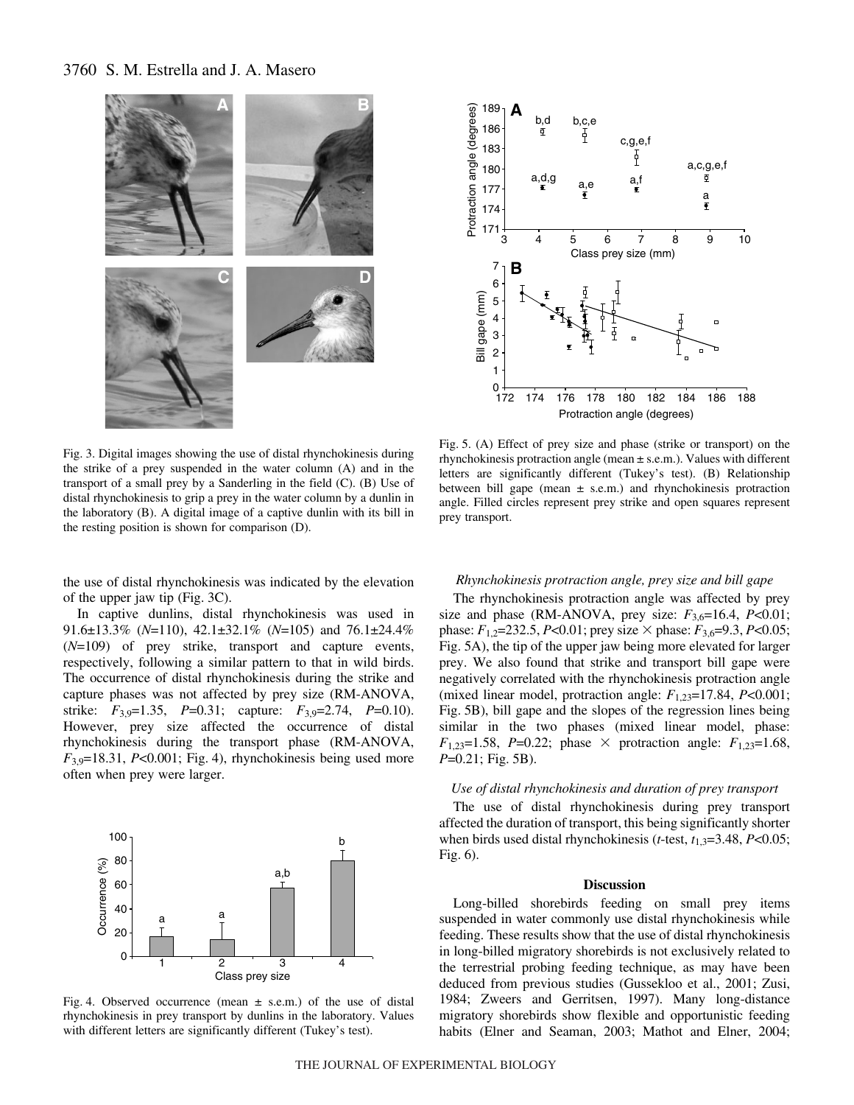## 3760 S. M. Estrella and J. A. Masero





Fig. 3. Digital images showing the use of distal rhynchokinesis during the strike of a prey suspended in the water column (A) and in the transport of a small prey by a Sanderling in the field (C). (B) Use of distal rhynchokinesis to grip a prey in the water column by a dunlin in the laboratory (B). A digital image of a captive dunlin with its bill in the resting position is shown for comparison (D).

the use of distal rhynchokinesis was indicated by the elevation of the upper jaw tip (Fig.  $3C$ ).

In captive dunlins, distal rhynchokinesis was used in 91.6±13.3% (*N*=110), 42.1±32.1% (*N*=105) and 76.1±24.4% (*N*=109) of prey strike, transport and capture events, respectively, following a similar pattern to that in wild birds. The occurrence of distal rhynchokinesis during the strike and capture phases was not affected by prey size (RM-ANOVA, strike: *F*3,9=1.35, *P*=0.31; capture: *F*3,9=2.74, *P*=0.10). However, prey size affected the occurrence of distal rhynchokinesis during the transport phase (RM-ANOVA,  $F_{3.9}$ =18.31, *P*<0.001; Fig. 4), rhynchokinesis being used more often when prey were larger.



Fig. 4. Observed occurrence (mean  $\pm$  s.e.m.) of the use of distal rhynchokinesis in prey transport by dunlins in the laboratory. Values with different letters are significantly different (Tukey's test).

Fig. 5. (A) Effect of prey size and phase (strike or transport) on the rhynchokinesis protraction angle (mean  $\pm$  s.e.m.). Values with different letters are significantly different (Tukey's test). (B) Relationship between bill gape (mean  $\pm$  s.e.m.) and rhynchokinesis protraction angle. Filled circles represent prey strike and open squares represent prey transport.

### *Rhynchokinesis protraction angle, prey size and bill gape*

The rhynchokinesis protraction angle was affected by prey size and phase (RM-ANOVA, prey size:  $F_{3,6}=16.4$ ,  $P<0.01$ ; phase:  $F_{1,2}$ =232.5, *P*<0.01; prey size  $\times$  phase:  $F_{3,6}$ =9.3, *P*<0.05; Fig. 5A), the tip of the upper jaw being more elevated for larger prey. We also found that strike and transport bill gape were negatively correlated with the rhynchokinesis protraction angle (mixed linear model, protraction angle:  $F_{1,23}=17.84$ ,  $P<0.001$ ; Fig. 5B), bill gape and the slopes of the regression lines being similar in the two phases (mixed linear model, phase:  $F_{1,23}=1.58$ , *P*=0.22; phase  $\times$  protraction angle:  $F_{1,23}=1.68$ , *P*=0.21; Fig. 5B).

### *Use of distal rhynchokinesis and duration of prey transport*

The use of distal rhynchokinesis during prey transport affected the duration of transport, this being significantly shorter when birds used distal rhynchokinesis (*t*-test,  $t_{1,3}=3.48$ , *P*<0.05; Fig.  $6$ ).

#### **Discussion**

Long-billed shorebirds feeding on small prey items suspended in water commonly use distal rhynchokinesis while feeding. These results show that the use of distal rhynchokinesis in long-billed migratory shorebirds is not exclusively related to the terrestrial probing feeding technique, as may have been deduced from previous studies (Gussekloo et al., 2001; Zusi, 1984; Zweers and Gerritsen, 1997). Many long-distance migratory shorebirds show flexible and opportunistic feeding habits (Elner and Seaman, 2003; Mathot and Elner, 2004;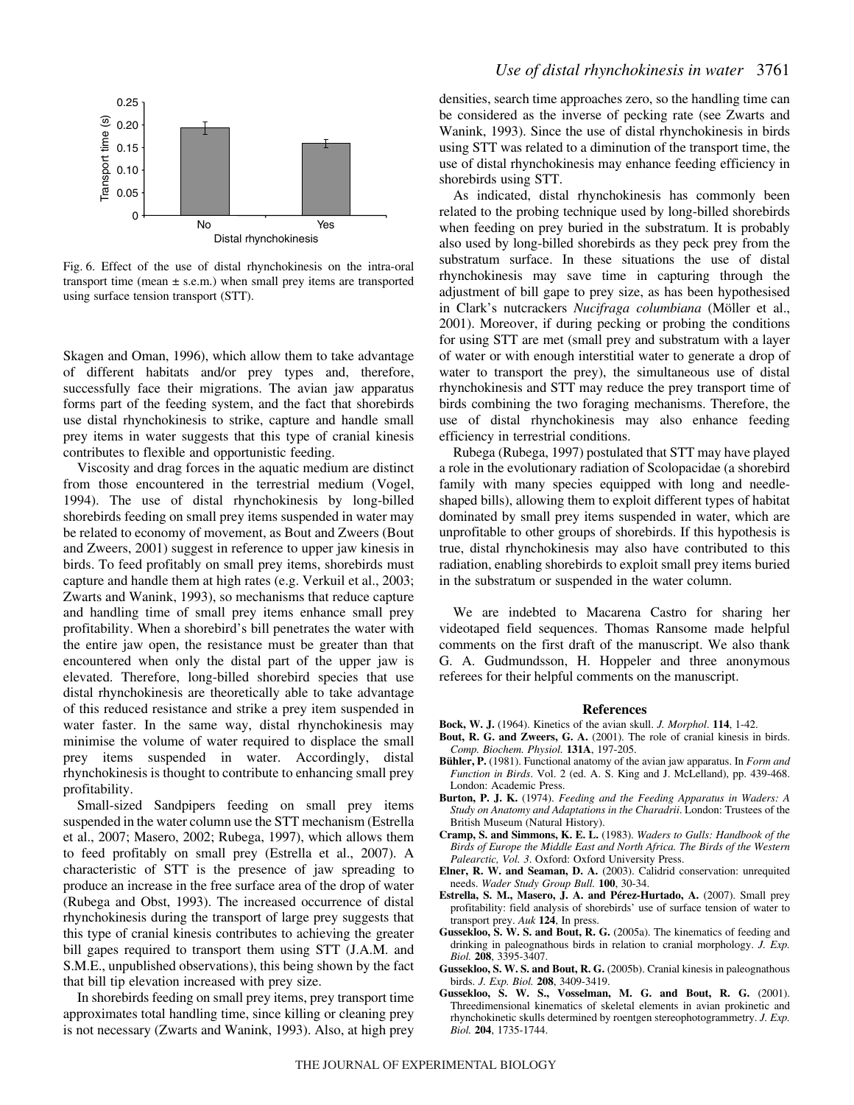

Fig. 6. Effect of the use of distal rhynchokinesis on the intra-oral transport time (mean  $\pm$  s.e.m.) when small prey items are transported using surface tension transport (STT).

Skagen and Oman, 1996), which allow them to take advantage of different habitats and/or prey types and, therefore, successfully face their migrations. The avian jaw apparatus forms part of the feeding system, and the fact that shorebirds use distal rhynchokinesis to strike, capture and handle small prey items in water suggests that this type of cranial kinesis contributes to flexible and opportunistic feeding.

Viscosity and drag forces in the aquatic medium are distinct from those encountered in the terrestrial medium (Vogel, 1994). The use of distal rhynchokinesis by long-billed shorebirds feeding on small prey items suspended in water may be related to economy of movement, as Bout and Zweers (Bout and Zweers, 2001) suggest in reference to upper jaw kinesis in birds. To feed profitably on small prey items, shorebirds must capture and handle them at high rates (e.g. Verkuil et al., 2003; Zwarts and Wanink, 1993), so mechanisms that reduce capture and handling time of small prey items enhance small prey profitability. When a shorebird's bill penetrates the water with the entire jaw open, the resistance must be greater than that encountered when only the distal part of the upper jaw is elevated. Therefore, long-billed shorebird species that use distal rhynchokinesis are theoretically able to take advantage of this reduced resistance and strike a prey item suspended in water faster. In the same way, distal rhynchokinesis may minimise the volume of water required to displace the small prey items suspended in water. Accordingly, distal rhynchokinesis is thought to contribute to enhancing small prey profitability.

Small-sized Sandpipers feeding on small prey items suspended in the water column use the STT mechanism (Estrella et al., 2007; Masero, 2002; Rubega, 1997), which allows them to feed profitably on small prey (Estrella et al., 2007). A characteristic of STT is the presence of jaw spreading to produce an increase in the free surface area of the drop of water (Rubega and Obst, 1993). The increased occurrence of distal rhynchokinesis during the transport of large prey suggests that this type of cranial kinesis contributes to achieving the greater bill gapes required to transport them using STT (J.A.M. and S.M.E., unpublished observations), this being shown by the fact that bill tip elevation increased with prey size.

In shorebirds feeding on small prey items, prey transport time approximates total handling time, since killing or cleaning prey is not necessary (Zwarts and Wanink, 1993). Also, at high prey densities, search time approaches zero, so the handling time can be considered as the inverse of pecking rate (see Zwarts and Wanink, 1993). Since the use of distal rhynchokinesis in birds using STT was related to a diminution of the transport time, the use of distal rhynchokinesis may enhance feeding efficiency in shorebirds using STT.

As indicated, distal rhynchokinesis has commonly been related to the probing technique used by long-billed shorebirds when feeding on prey buried in the substratum. It is probably also used by long-billed shorebirds as they peck prey from the substratum surface. In these situations the use of distal rhynchokinesis may save time in capturing through the adjustment of bill gape to prey size, as has been hypothesised in Clark's nutcrackers *Nucifraga columbiana* (Möller et al., 2001). Moreover, if during pecking or probing the conditions for using STT are met (small prey and substratum with a layer of water or with enough interstitial water to generate a drop of water to transport the prey), the simultaneous use of distal rhynchokinesis and STT may reduce the prey transport time of birds combining the two foraging mechanisms. Therefore, the use of distal rhynchokinesis may also enhance feeding efficiency in terrestrial conditions.

Rubega (Rubega, 1997) postulated that STT may have played a role in the evolutionary radiation of Scolopacidae (a shorebird family with many species equipped with long and needleshaped bills), allowing them to exploit different types of habitat dominated by small prey items suspended in water, which are unprofitable to other groups of shorebirds. If this hypothesis is true, distal rhynchokinesis may also have contributed to this radiation, enabling shorebirds to exploit small prey items buried in the substratum or suspended in the water column.

We are indebted to Macarena Castro for sharing her videotaped field sequences. Thomas Ransome made helpful comments on the first draft of the manuscript. We also thank G. A. Gudmundsson, H. Hoppeler and three anonymous referees for their helpful comments on the manuscript.

#### **References**

- **Bock, W. J.** (1964). Kinetics of the avian skull. *J. Morphol*. **114**, 1-42.
- **Bout, R. G. and Zweers, G. A.** (2001). The role of cranial kinesis in birds. *Comp. Biochem. Physiol.* **131A**, 197-205.
- **Bühler, P.** (1981). Functional anatomy of the avian jaw apparatus. In *Form and Function in Birds*. Vol. 2 (ed. A. S. King and J. McLelland), pp. 439-468. London: Academic Press.
- **Burton, P. J. K.** (1974). *Feeding and the Feeding Apparatus in Waders: A Study on Anatomy and Adaptations in the Charadrii*. London: Trustees of the British Museum (Natural History).
- **Cramp, S. and Simmons, K. E. L.** (1983). *Waders to Gulls: Handbook of the Birds of Europe the Middle East and North Africa. The Birds of the Western Palearctic, Vol. 3*. Oxford: Oxford University Press.
- **Elner, R. W. and Seaman, D. A.** (2003). Calidrid conservation: unrequited needs. *Wader Study Group Bull.* **100**, 30-34.
- **Estrella, S. M., Masero, J. A. and Pérez-Hurtado, A.** (2007). Small prey profitability: field analysis of shorebirds' use of surface tension of water to transport prey. *Auk* **124**, In press.
- **Gussekloo, S. W. S. and Bout, R. G.** (2005a). The kinematics of feeding and drinking in paleognathous birds in relation to cranial morphology. *J. Exp. Biol.* **208**, 3395-3407.
- **Gussekloo, S. W. S. and Bout, R. G.** (2005b). Cranial kinesis in paleognathous birds. *J. Exp. Biol.* **208**, 3409-3419.
- **Gussekloo, S. W. S., Vosselman, M. G. and Bout, R. G.** (2001). Threedimensional kinematics of skeletal elements in avian prokinetic and rhynchokinetic skulls determined by roentgen stereophotogrammetry. *J. Exp. Biol.* **204**, 1735-1744.